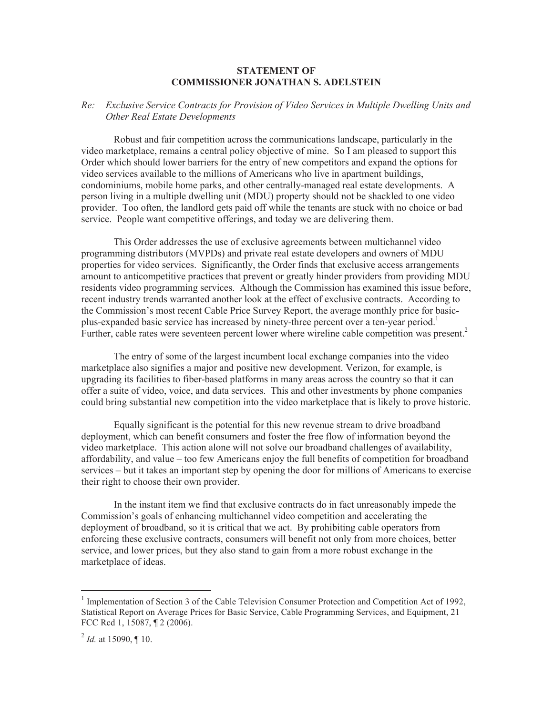## **STATEMENT OF COMMISSIONER JONATHAN S. ADELSTEIN**

## *Re: Exclusive Service Contracts for Provision of Video Services in Multiple Dwelling Units and Other Real Estate Developments*

Robust and fair competition across the communications landscape, particularly in the video marketplace, remains a central policy objective of mine. So I am pleased to support this Order which should lower barriers for the entry of new competitors and expand the options for video services available to the millions of Americans who live in apartment buildings, condominiums, mobile home parks, and other centrally-managed real estate developments. A person living in a multiple dwelling unit (MDU) property should not be shackled to one video provider. Too often, the landlord gets paid off while the tenants are stuck with no choice or bad service. People want competitive offerings, and today we are delivering them.

This Order addresses the use of exclusive agreements between multichannel video programming distributors (MVPDs) and private real estate developers and owners of MDU properties for video services. Significantly, the Order finds that exclusive access arrangements amount to anticompetitive practices that prevent or greatly hinder providers from providing MDU residents video programming services. Although the Commission has examined this issue before, recent industry trends warranted another look at the effect of exclusive contracts. According to the Commission's most recent Cable Price Survey Report, the average monthly price for basicplus-expanded basic service has increased by ninety-three percent over a ten-year period.<sup>1</sup> Further, cable rates were seventeen percent lower where wireline cable competition was present.<sup>2</sup>

The entry of some of the largest incumbent local exchange companies into the video marketplace also signifies a major and positive new development. Verizon, for example, is upgrading its facilities to fiber-based platforms in many areas across the country so that it can offer a suite of video, voice, and data services. This and other investments by phone companies could bring substantial new competition into the video marketplace that is likely to prove historic.

Equally significant is the potential for this new revenue stream to drive broadband deployment, which can benefit consumers and foster the free flow of information beyond the video marketplace. This action alone will not solve our broadband challenges of availability, affordability, and value – too few Americans enjoy the full benefits of competition for broadband services – but it takes an important step by opening the door for millions of Americans to exercise their right to choose their own provider.

In the instant item we find that exclusive contracts do in fact unreasonably impede the Commission's goals of enhancing multichannel video competition and accelerating the deployment of broadband, so it is critical that we act. By prohibiting cable operators from enforcing these exclusive contracts, consumers will benefit not only from more choices, better service, and lower prices, but they also stand to gain from a more robust exchange in the marketplace of ideas.

<sup>&</sup>lt;sup>1</sup> Implementation of Section 3 of the Cable Television Consumer Protection and Competition Act of 1992, Statistical Report on Average Prices for Basic Service, Cable Programming Services, and Equipment, 21 FCC Rcd 1, 15087, ¶ 2 (2006).

<sup>&</sup>lt;sup>2</sup> *Id.* at 15090, ¶ 10.